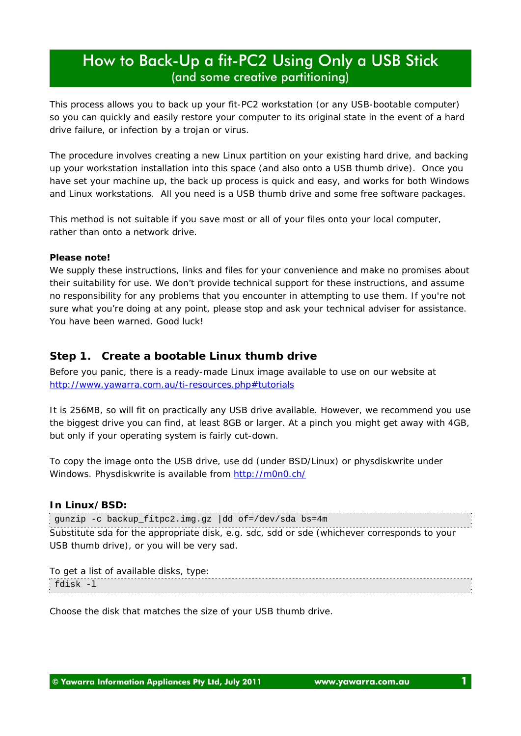This process allows you to back up your fit-PC2 workstation (or any USB-bootable computer) so you can quickly and easily restore your computer to its original state in the event of a hard drive failure, or infection by a trojan or virus.

The procedure involves creating a new Linux partition on your existing hard drive, and backing up your workstation installation into this space (and also onto a USB thumb drive). Once you have set your machine up, the back up process is quick and easy, and works for both Windows and Linux workstations. All you need is a USB thumb drive and some free software packages.

This method is not suitable if you save most or all of your files onto your local computer, rather than onto a network drive.

#### **Please note!**

We supply these instructions, links and files for your convenience and make no promises about their suitability for use. We don't provide technical support for these instructions, and assume no responsibility for any problems that you encounter in attempting to use them. If you're not sure what you're doing at any point, please stop and ask your technical adviser for assistance. You have been warned. Good luck!

#### *Step 1. Create a bootable Linux thumb drive*

Before you panic, there is a ready-made Linux image available to use on our website at http://www.yawarra.com.au/ti-resources.php#tutorials

It is 256MB, so will fit on practically any USB drive available. However, we recommend you use the biggest drive you can find, at least 8GB or larger. At a pinch you might get away with 4GB, but only if your operating system is fairly cut-down.

To copy the image onto the USB drive, use dd (under BSD/Linux) or physdiskwrite under Windows. Physdiskwrite is available from http://m0n0.ch/

#### **In Linux/BSD:**

gunzip -c backup\_fitpc2.img.gz |dd of=/dev/sda bs=4m Substitute sda for the appropriate disk, e.g. sdc, sdd or sde (whichever corresponds to your USB thumb drive), or you will be very sad.

| To get a list of available disks, type: |  |
|-----------------------------------------|--|
| : fdisk -l                              |  |

Choose the disk that matches the size of your USB thumb drive.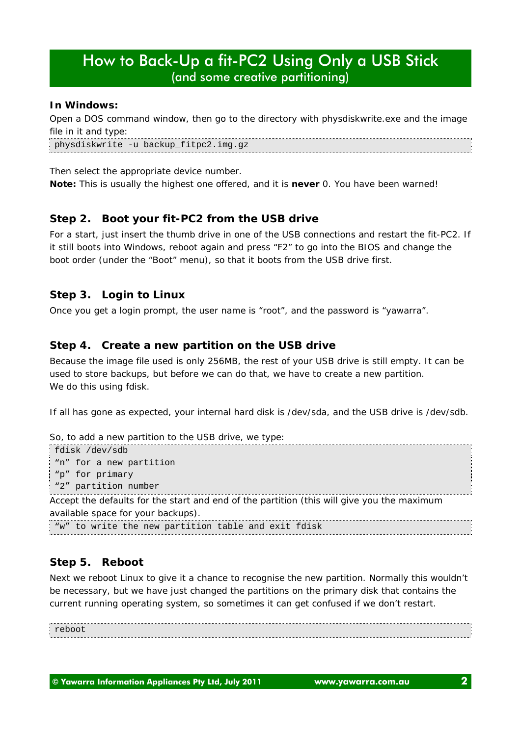#### **In Windows:**

Open a DOS command window, then go to the directory with physdiskwrite.exe and the image file in it and type:

physdiskwrite -u backup\_fitpc2.img.gz

Then select the appropriate device number.

*Note: This is usually the highest one offered, and it is never 0. You have been warned!*

## *Step 2. Boot your fit-PC2 from the USB drive*

For a start, just insert the thumb drive in one of the USB connections and restart the fit-PC2. If it still boots into Windows, reboot again and press "F2" to go into the BIOS and change the boot order (under the "Boot" menu), so that it boots from the USB drive first.

### *Step 3. Login to Linux*

Once you get a login prompt, the user name is "root", and the password is "yawarra".

## *Step 4. Create a new partition on the USB drive*

Because the image file used is only 256MB, the rest of your USB drive is still empty. It can be used to store backups, but before we can do that, we have to create a new partition. We do this using fdisk.

If all has gone as expected, your internal hard disk is /dev/sda, and the USB drive is /dev/sdb.

```
So, to add a new partition to the USB drive, we type:
fdisk /dev/sdb
"n" for a new partition
 "p" for primary
 "2" partition number
Accept the defaults for the start and end of the partition (this will give you the maximum
available space for your backups).
"w" to write the new partition table and exit fdisk
```
## *Step 5. Reboot*

Next we reboot Linux to give it a chance to recognise the new partition. Normally this wouldn't be necessary, but we have just changed the partitions on the primary disk that contains the current running operating system, so sometimes it can get confused if we don't restart.

reboot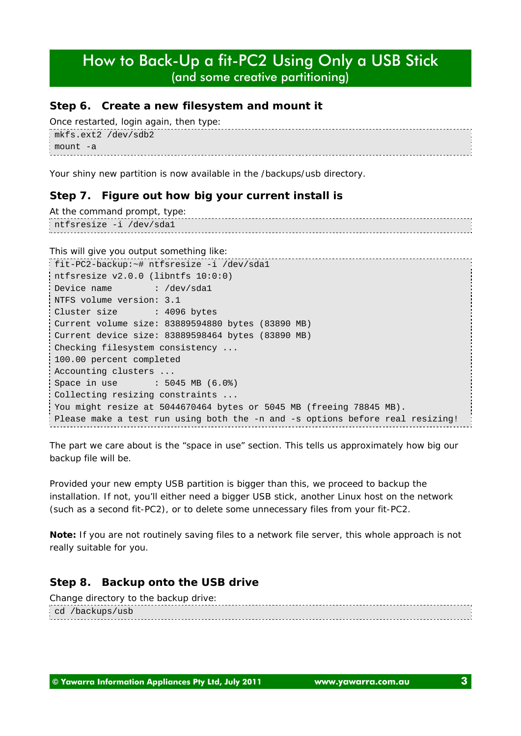### *Step 6. Create a new filesystem and mount it*

```
Once restarted, login again, then type:
mkfs.ext2 /dev/sdb2
mount -a
```
Your shiny new partition is now available in the /backups/usb directory.

## *Step 7. Figure out how big your current install is*

```
At the command prompt, type:
ntfsresize -i /dev/sda1
```
This will give you output something like:

```
fit-PC2-backup:~# ntfsresize -i /dev/sda1
ntfsresize v2.0.0 (libntfs 10:0:0)
Device name : /dev/sda1
NTFS volume version: 3.1
Cluster size : 4096 bytes
Current volume size: 83889594880 bytes (83890 MB)
Current device size: 83889598464 bytes (83890 MB)
Checking filesystem consistency ...
100.00 percent completed
Accounting clusters ...
Space in use : 5045 MB (6.0%)
Collecting resizing constraints ...
You might resize at 5044670464 bytes or 5045 MB (freeing 78845 MB).
Please make a test run using both the -n and -s options before real resizing!
```
The part we care about is the "space in use" section. This tells us approximately how big our backup file will be.

Provided your new empty USB partition is bigger than this, we proceed to backup the installation. If not, you'll either need a bigger USB stick, another Linux host on the network (such as a second fit-PC2), or to delete some unnecessary files from your fit-PC2.

*Note: If you are not routinely saving files to a network file server, this whole approach is not really suitable for you.*

## *Step 8. Backup onto the USB drive*

```
Change directory to the backup drive:
cd /backups/usb
```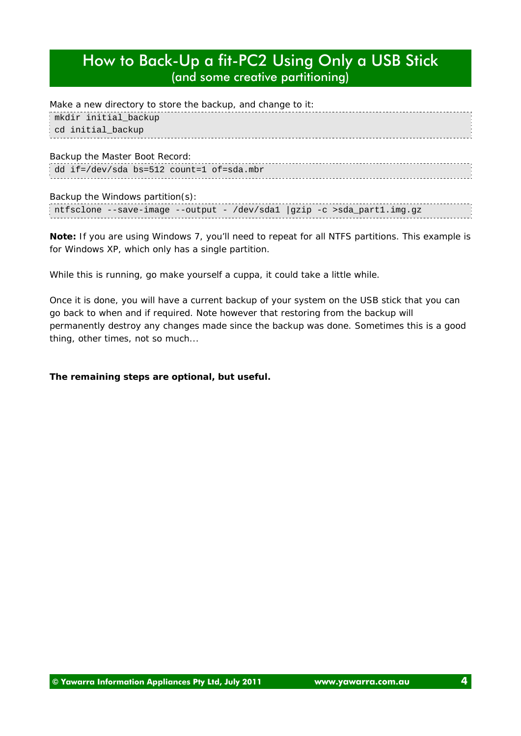| Make a new directory to store the backup, and change to it: |
|-------------------------------------------------------------|
| mkdir initial_backup                                        |
| cd initial_backup                                           |
|                                                             |
| Backup the Master Boot Record:                              |
| dd if=/dev/sda bs=512 count=1 of=sda.mbr }                  |
|                                                             |

#### Backup the Windows partition(s):

|  |  |  |  | ntfsclone --save-image --output - /dev/sdal  gzip -c >sda_partl.img.gz |  |
|--|--|--|--|------------------------------------------------------------------------|--|
|  |  |  |  |                                                                        |  |
|  |  |  |  |                                                                        |  |

*Note: If you are using Windows 7, you'll need to repeat for all NTFS partitions. This example is for Windows XP, which only has a single partition.*

While this is running, go make yourself a cuppa, it could take a little while.

Once it is done, you will have a current backup of your system on the USB stick that you can go back to when and if required. Note however that restoring from the backup will permanently destroy any changes made since the backup was done. Sometimes this is a good thing, other times, not so much...

#### **The remaining steps are optional, but useful.**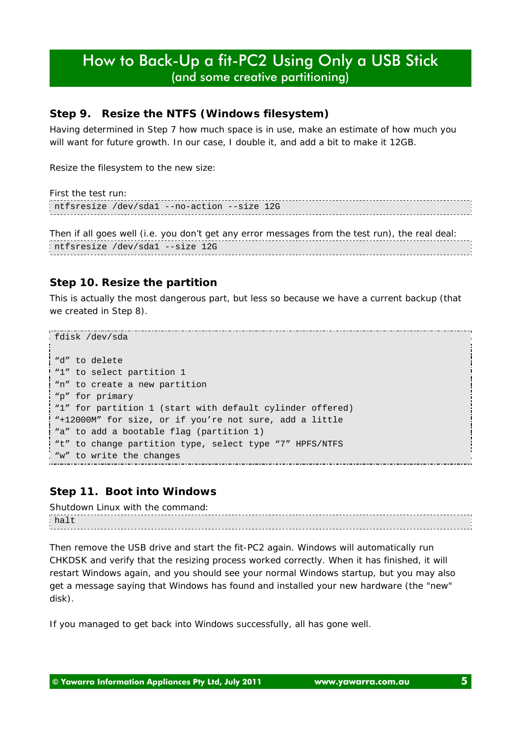## *Step 9. Resize the NTFS (Windows filesystem)*

Having determined in Step 7 how much space is in use, make an estimate of how much you will want for future growth. In our case, I double it, and add a bit to make it 12GB.

Resize the filesystem to the new size:

| First the test run:                                                                                                                                                                                                                 |  |
|-------------------------------------------------------------------------------------------------------------------------------------------------------------------------------------------------------------------------------------|--|
| ntfsresize /dev/sdal --no-action --size 12G                                                                                                                                                                                         |  |
|                                                                                                                                                                                                                                     |  |
| The secret of the second $P$ is a second sequence of the second second $\mathcal{L}_i$ seems the contribution of the second second second second second second second second second second second second second second second secon |  |

Then if all goes well (i.e. you don't get any error messages from the test run), the real deal: ntfsresize /dev/sda1 --size 12G

### *Step 10. Resize the partition*

This is actually the most dangerous part, but less so because we have a current backup (that we created in Step 8).

```
fdisk /dev/sda
"d" to delete
"1" to select partition 1
"n" to create a new partition
"p" for primary
"1" for partition 1 (start with default cylinder offered)
"+12000M" for size, or if you're not sure, add a little
"a" to add a bootable flag (partition 1)
"t" to change partition type, select type "7" HPFS/NTFS
"w" to write the changes
```
#### *Step 11. Boot into Windows*

Shutdown Linux with the command: halt

Then remove the USB drive and start the fit-PC2 again. Windows will automatically run CHKDSK and verify that the resizing process worked correctly. When it has finished, it will restart Windows again, and you should see your normal Windows startup, but you may also get a message saying that Windows has found and installed your new hardware (the "new" disk).

If you managed to get back into Windows successfully, all has gone well.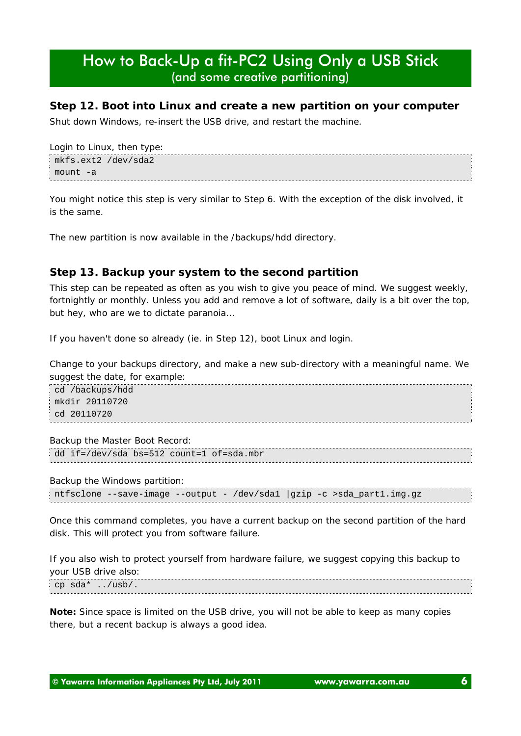### *Step 12. Boot into Linux and create a new partition on your computer*

Shut down Windows, re-insert the USB drive, and restart the machine.

```
Login to Linux, then type:
mkfs.ext2 /dev/sda2
 mount -a
```
You might notice this step is very similar to Step 6. With the exception of the disk involved, it is the same.

The new partition is now available in the /backups/hdd directory.

## *Step 13. Backup your system to the second partition*

This step can be repeated as often as you wish to give you peace of mind. We suggest weekly, fortnightly or monthly. Unless you add and remove a lot of software, daily is a bit over the top, but hey, who are we to dictate paranoia...

If you haven't done so already (ie. in Step 12), boot Linux and login.

Change to your backups directory, and make a new sub-directory with a meaningful name. We suggest the date, for example:

cd /backups/hdd mkdir 20110720 cd 20110720

Backup the Master Boot Record:

|  | dd if=/dev/sda bs=512 count=1 of=sda.mbr : |  |  |
|--|--------------------------------------------|--|--|
|  |                                            |  |  |

Backup the Windows partition:

|  |  |  | ntfsclone --save-image --output - /dev/sdal  gzip -c >sda_partl.img.gz |  |
|--|--|--|------------------------------------------------------------------------|--|
|  |  |  |                                                                        |  |

Once this command completes, you have a current backup on the second partition of the hard disk. This will protect you from software failure.

If you also wish to protect yourself from hardware failure, we suggest copying this backup to your USB drive also:

cp sda\* ../usb/.

*Note: Since space is limited on the USB drive, you will not be able to keep as many copies there, but a recent backup is always a good idea.*